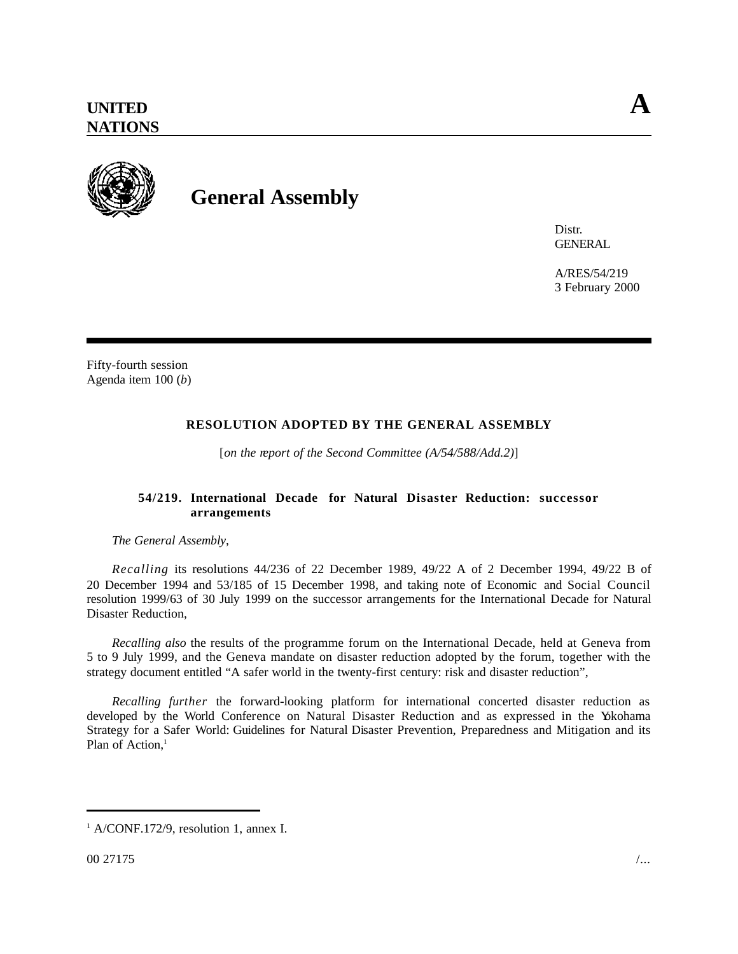

## **General Assembly**

Distr. **GENERAL** 

A/RES/54/219 3 February 2000

Fifty-fourth session Agenda item 100 (*b*)

## **RESOLUTION ADOPTED BY THE GENERAL ASSEMBLY**

[*on the report of the Second Committee (A/54/588/Add.2)*]

## **54/219. International Decade for Natural Disaster Reduction: successor arrangements**

*The General Assembly*,

*Recalling* its resolutions 44/236 of 22 December 1989, 49/22 A of 2 December 1994, 49/22 B of 20 December 1994 and 53/185 of 15 December 1998, and taking note of Economic and Social Council resolution 1999/63 of 30 July 1999 on the successor arrangements for the International Decade for Natural Disaster Reduction,

*Recalling also* the results of the programme forum on the International Decade, held at Geneva from 5 to 9 July 1999, and the Geneva mandate on disaster reduction adopted by the forum, together with the strategy document entitled "A safer world in the twenty-first century: risk and disaster reduction",

*Recalling further* the forward-looking platform for international concerted disaster reduction as developed by the World Conference on Natural Disaster Reduction and as expressed in the Yokohama Strategy for a Safer World: Guidelines for Natural Disaster Prevention, Preparedness and Mitigation and its Plan of Action.<sup>1</sup>

<sup>1</sup> A/CONF.172/9, resolution 1, annex I.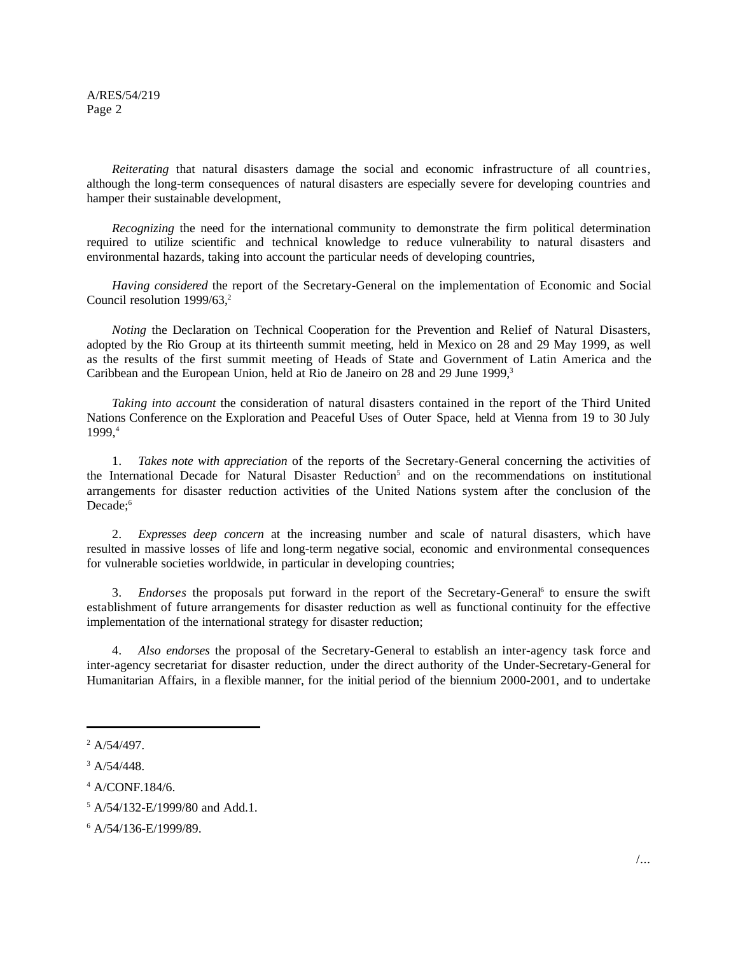A/RES/54/219 Page 2

*Reiterating* that natural disasters damage the social and economic infrastructure of all countries, although the long-term consequences of natural disasters are especially severe for developing countries and hamper their sustainable development,

*Recognizing* the need for the international community to demonstrate the firm political determination required to utilize scientific and technical knowledge to reduce vulnerability to natural disasters and environmental hazards, taking into account the particular needs of developing countries,

*Having considered* the report of the Secretary-General on the implementation of Economic and Social Council resolution 1999/63.<sup>2</sup>

*Noting* the Declaration on Technical Cooperation for the Prevention and Relief of Natural Disasters, adopted by the Rio Group at its thirteenth summit meeting, held in Mexico on 28 and 29 May 1999, as well as the results of the first summit meeting of Heads of State and Government of Latin America and the Caribbean and the European Union, held at Rio de Janeiro on 28 and 29 June 1999,<sup>3</sup>

*Taking into account* the consideration of natural disasters contained in the report of the Third United Nations Conference on the Exploration and Peaceful Uses of Outer Space, held at Vienna from 19 to 30 July 1999,4

1. *Takes note with appreciation* of the reports of the Secretary-General concerning the activities of the International Decade for Natural Disaster Reduction<sup>5</sup> and on the recommendations on institutional arrangements for disaster reduction activities of the United Nations system after the conclusion of the Decade:<sup>6</sup>

2. *Expresses deep concern* at the increasing number and scale of natural disasters, which have resulted in massive losses of life and long-term negative social, economic and environmental consequences for vulnerable societies worldwide, in particular in developing countries;

3. *Endorses* the proposals put forward in the report of the Secretary-General<sup>6</sup> to ensure the swift establishment of future arrangements for disaster reduction as well as functional continuity for the effective implementation of the international strategy for disaster reduction;

4. *Also endorses* the proposal of the Secretary-General to establish an inter-agency task force and inter-agency secretariat for disaster reduction, under the direct authority of the Under-Secretary-General for Humanitarian Affairs, in a flexible manner, for the initial period of the biennium 2000-2001, and to undertake

<sup>2</sup> A/54/497.

 $3$  A/54/448.

<sup>4</sup> A/CONF.184/6.

<sup>5</sup> A/54/132-E/1999/80 and Add.1.

<sup>6</sup> A/54/136-E/1999/89.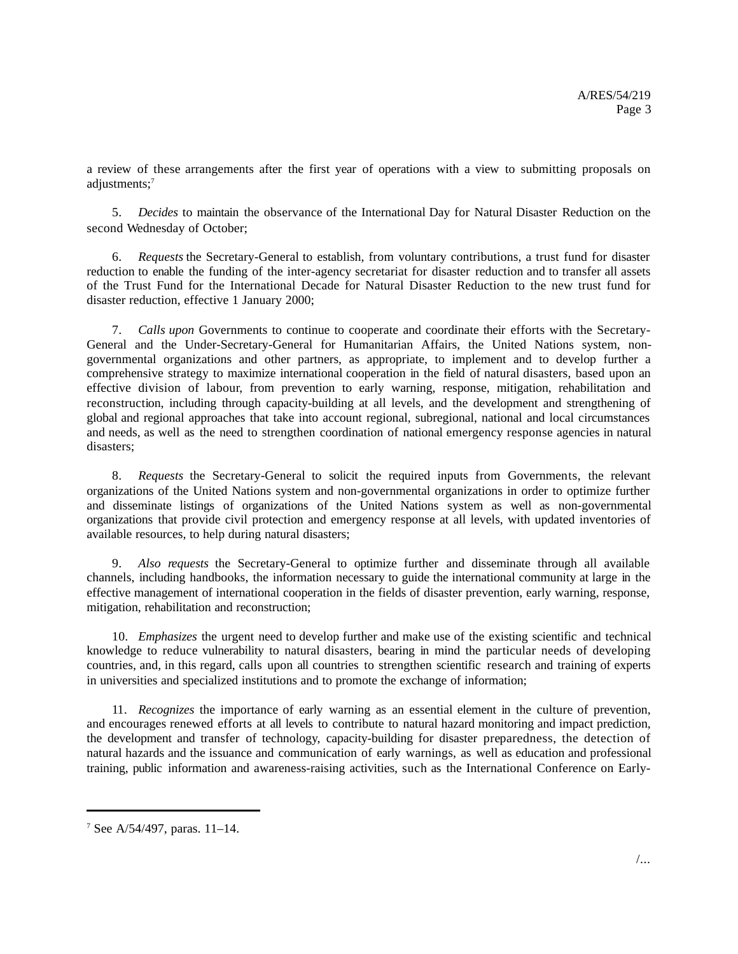a review of these arrangements after the first year of operations with a view to submitting proposals on adjustments;<sup>7</sup>

5. *Decides* to maintain the observance of the International Day for Natural Disaster Reduction on the second Wednesday of October;

6. *Requests* the Secretary-General to establish, from voluntary contributions, a trust fund for disaster reduction to enable the funding of the inter-agency secretariat for disaster reduction and to transfer all assets of the Trust Fund for the International Decade for Natural Disaster Reduction to the new trust fund for disaster reduction, effective 1 January 2000;

7. *Calls upon* Governments to continue to cooperate and coordinate their efforts with the Secretary-General and the Under-Secretary-General for Humanitarian Affairs, the United Nations system, nongovernmental organizations and other partners, as appropriate, to implement and to develop further a comprehensive strategy to maximize international cooperation in the field of natural disasters, based upon an effective division of labour, from prevention to early warning, response, mitigation, rehabilitation and reconstruction, including through capacity-building at all levels, and the development and strengthening of global and regional approaches that take into account regional, subregional, national and local circumstances and needs, as well as the need to strengthen coordination of national emergency response agencies in natural disasters;

8. *Requests* the Secretary-General to solicit the required inputs from Governments, the relevant organizations of the United Nations system and non-governmental organizations in order to optimize further and disseminate listings of organizations of the United Nations system as well as non-governmental organizations that provide civil protection and emergency response at all levels, with updated inventories of available resources, to help during natural disasters;

9. *Also requests* the Secretary-General to optimize further and disseminate through all available channels, including handbooks, the information necessary to guide the international community at large in the effective management of international cooperation in the fields of disaster prevention, early warning, response, mitigation, rehabilitation and reconstruction;

10. *Emphasizes* the urgent need to develop further and make use of the existing scientific and technical knowledge to reduce vulnerability to natural disasters, bearing in mind the particular needs of developing countries, and, in this regard, calls upon all countries to strengthen scientific research and training of experts in universities and specialized institutions and to promote the exchange of information;

11. *Recognizes* the importance of early warning as an essential element in the culture of prevention, and encourages renewed efforts at all levels to contribute to natural hazard monitoring and impact prediction, the development and transfer of technology, capacity-building for disaster preparedness, the detection of natural hazards and the issuance and communication of early warnings, as well as education and professional training, public information and awareness-raising activities, such as the International Conference on Early-

<sup>7</sup> See A/54/497, paras. 11–14.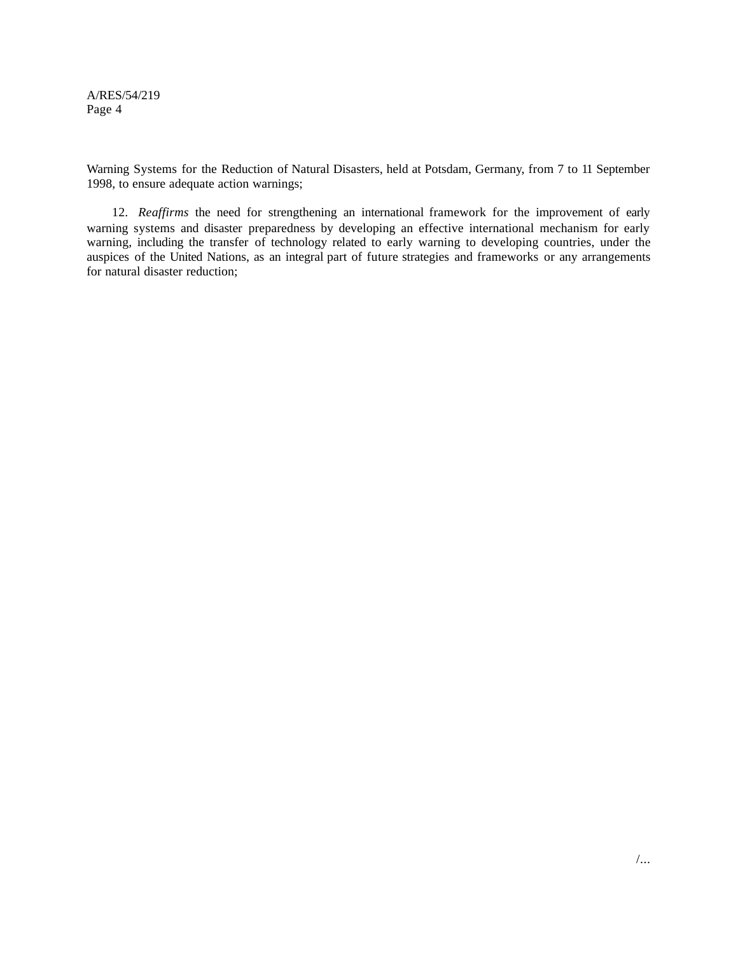A/RES/54/219 Page 4

Warning Systems for the Reduction of Natural Disasters, held at Potsdam, Germany, from 7 to 11 September 1998, to ensure adequate action warnings;

12. *Reaffirms* the need for strengthening an international framework for the improvement of early warning systems and disaster preparedness by developing an effective international mechanism for early warning, including the transfer of technology related to early warning to developing countries, under the auspices of the United Nations, as an integral part of future strategies and frameworks or any arrangements for natural disaster reduction;